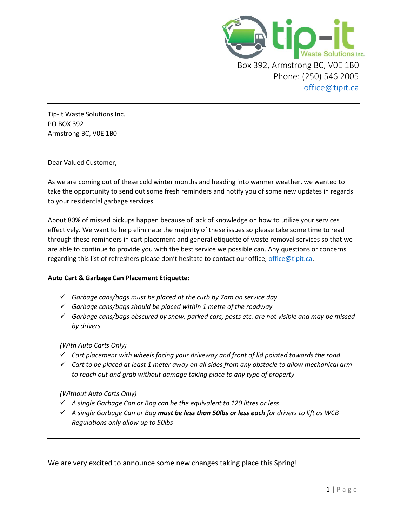

Tip-It Waste Solutions Inc. PO BOX 392 Armstrong BC, V0E 1B0

Dear Valued Customer,

As we are coming out of these cold winter months and heading into warmer weather, we wanted to take the opportunity to send out some fresh reminders and notify you of some new updates in regards to your residential garbage services.

About 80% of missed pickups happen because of lack of knowledge on how to utilize your services effectively. We want to help eliminate the majority of these issues so please take some time to read through these reminders in cart placement and general etiquette of waste removal services so that we are able to continue to provide you with the best service we possible can. Any questions or concerns regarding this list of refreshers please don't hesitate to contact our office, [office@tipit.ca.](mailto:office@tipit.ca)

## **Auto Cart & Garbage Can Placement Etiquette:**

- ✓ *Garbage cans/bags must be placed at the curb by 7am on service day*
- ✓ *Garbage cans/bags should be placed within 1 metre of the roadway*
- ✓ *Garbage cans/bags obscured by snow, parked cars, posts etc. are not visible and may be missed by drivers*

### *(With Auto Carts Only)*

- ✓ *Cart placement with wheels facing your driveway and front of lid pointed towards the road*
- ✓ *Cart to be placed at least 1 meter away on all sides from any obstacle to allow mechanical arm to reach out and grab without damage taking place to any type of property*

## *(Without Auto Carts Only)*

- ✓ *A single Garbage Can or Bag can be the equivalent to 120 litres or less*
- ✓ *A single Garbage Can or Bag must be less than 50lbs or less each for drivers to lift as WCB Regulations only allow up to 50lbs*

We are very excited to announce some new changes taking place this Spring!